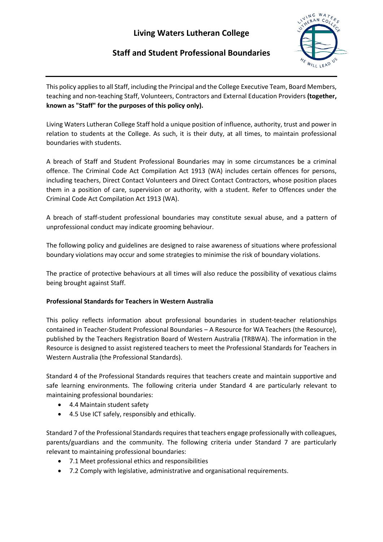# **Living Waters Lutheran College**

## **Staff and Student Professional Boundaries**



This policy applies to all Staff, including the Principal and the College Executive Team, Board Members, teaching and non-teaching Staff, Volunteers, Contractors and External Education Providers **(together, known as "Staff" for the purposes of this policy only).** 

Living Waters Lutheran College Staff hold a unique position of influence, authority, trust and power in relation to students at the College. As such, it is their duty, at all times, to maintain professional boundaries with students.

A breach of Staff and Student Professional Boundaries may in some circumstances be a criminal offence. The Criminal Code Act Compilation Act 1913 (WA) includes certain offences for persons, including teachers, Direct Contact Volunteers and Direct Contact Contractors, whose position places them in a position of care, supervision or authority, with a student. Refer to Offences under the Criminal Code Act Compilation Act 1913 (WA).

A breach of staff-student professional boundaries may constitute sexual abuse, and a pattern of unprofessional conduct may indicate grooming behaviour.

The following policy and guidelines are designed to raise awareness of situations where professional boundary violations may occur and some strategies to minimise the risk of boundary violations.

The practice of protective behaviours at all times will also reduce the possibility of vexatious claims being brought against Staff.

## **Professional Standards for Teachers in Western Australia**

This policy reflects information about professional boundaries in student-teacher relationships contained in Teacher-Student Professional Boundaries – A Resource for WA Teachers (the Resource), published by the Teachers Registration Board of Western Australia (TRBWA). The information in the Resource is designed to assist registered teachers to meet the Professional Standards for Teachers in Western Australia (the Professional Standards).

Standard 4 of the Professional Standards requires that teachers create and maintain supportive and safe learning environments. The following criteria under Standard 4 are particularly relevant to maintaining professional boundaries:

- 4.4 Maintain student safety
- 4.5 Use ICT safely, responsibly and ethically.

Standard 7 of the Professional Standards requires that teachers engage professionally with colleagues, parents/guardians and the community. The following criteria under Standard 7 are particularly relevant to maintaining professional boundaries:

- 7.1 Meet professional ethics and responsibilities
- 7.2 Comply with legislative, administrative and organisational requirements.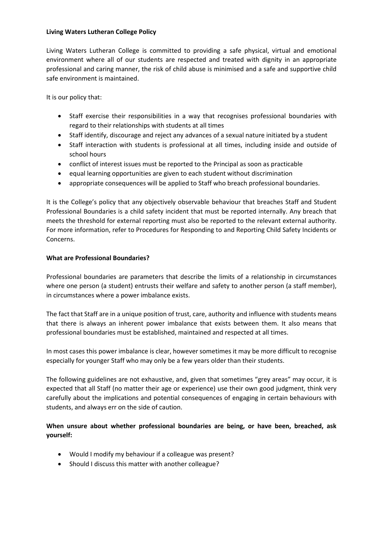## **Living Waters Lutheran College Policy**

Living Waters Lutheran College is committed to providing a safe physical, virtual and emotional environment where all of our students are respected and treated with dignity in an appropriate professional and caring manner, the risk of child abuse is minimised and a safe and supportive child safe environment is maintained.

It is our policy that:

- Staff exercise their responsibilities in a way that recognises professional boundaries with regard to their relationships with students at all times
- Staff identify, discourage and reject any advances of a sexual nature initiated by a student
- Staff interaction with students is professional at all times, including inside and outside of school hours
- conflict of interest issues must be reported to the Principal as soon as practicable
- equal learning opportunities are given to each student without discrimination
- appropriate consequences will be applied to Staff who breach professional boundaries.

It is the College's policy that any objectively observable behaviour that breaches Staff and Student Professional Boundaries is a child safety incident that must be reported internally. Any breach that meets the threshold for external reporting must also be reported to the relevant external authority. For more information, refer to Procedures for Responding to and Reporting Child Safety Incidents or Concerns.

## **What are Professional Boundaries?**

Professional boundaries are parameters that describe the limits of a relationship in circumstances where one person (a student) entrusts their welfare and safety to another person (a staff member), in circumstances where a power imbalance exists.

The fact that Staff are in a unique position of trust, care, authority and influence with students means that there is always an inherent power imbalance that exists between them. It also means that professional boundaries must be established, maintained and respected at all times.

In most cases this power imbalance is clear, however sometimes it may be more difficult to recognise especially for younger Staff who may only be a few years older than their students.

The following guidelines are not exhaustive, and, given that sometimes "grey areas" may occur, it is expected that all Staff (no matter their age or experience) use their own good judgment, think very carefully about the implications and potential consequences of engaging in certain behaviours with students, and always err on the side of caution.

## **When unsure about whether professional boundaries are being, or have been, breached, ask yourself:**

- Would I modify my behaviour if a colleague was present?
- Should I discuss this matter with another colleague?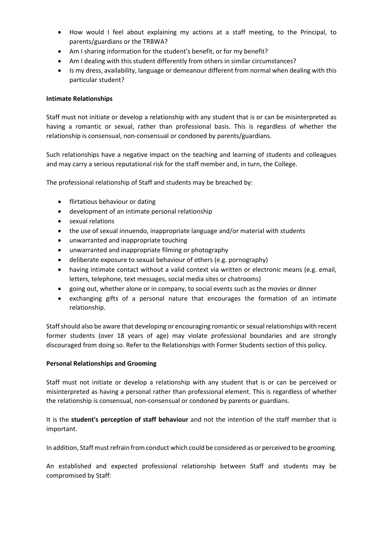- How would I feel about explaining my actions at a staff meeting, to the Principal, to parents/guardians or the TRBWA?
- Am I sharing information for the student's benefit, or for my benefit?
- Am I dealing with this student differently from others in similar circumstances?
- Is my dress, availability, language or demeanour different from normal when dealing with this particular student?

#### **Intimate Relationships**

Staff must not initiate or develop a relationship with any student that is or can be misinterpreted as having a romantic or sexual, rather than professional basis. This is regardless of whether the relationship is consensual, non-consensual or condoned by parents/guardians.

Such relationships have a negative impact on the teaching and learning of students and colleagues and may carry a serious reputational risk for the staff member and, in turn, the College.

The professional relationship of Staff and students may be breached by:

- flirtatious behaviour or dating
- development of an intimate personal relationship
- sexual relations
- the use of sexual innuendo, inappropriate language and/or material with students
- unwarranted and inappropriate touching
- unwarranted and inappropriate filming or photography
- deliberate exposure to sexual behaviour of others (e.g. pornography)
- having intimate contact without a valid context via written or electronic means (e.g. email, letters, telephone, text messages, social media sites or chatrooms)
- going out, whether alone or in company, to social events such as the movies or dinner
- exchanging gifts of a personal nature that encourages the formation of an intimate relationship.

Staff should also be aware that developing or encouraging romantic or sexual relationships with recent former students (over 18 years of age) may violate professional boundaries and are strongly discouraged from doing so. Refer to the Relationships with Former Students section of this policy.

#### **Personal Relationships and Grooming**

Staff must not initiate or develop a relationship with any student that is or can be perceived or misinterpreted as having a personal rather than professional element. This is regardless of whether the relationship is consensual, non-consensual or condoned by parents or guardians.

It is the **student's perception of staff behaviour** and not the intention of the staff member that is important.

In addition, Staff must refrain from conduct which could be considered as or perceived to be grooming.

An established and expected professional relationship between Staff and students may be compromised by Staff: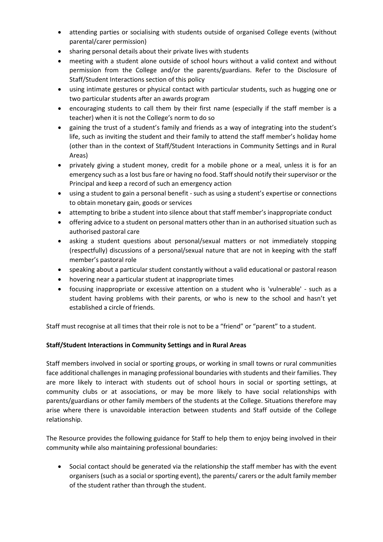- attending parties or socialising with students outside of organised College events (without parental/carer permission)
- sharing personal details about their private lives with students
- meeting with a student alone outside of school hours without a valid context and without permission from the College and/or the parents/guardians. Refer to the Disclosure of Staff/Student Interactions section of this policy
- using intimate gestures or physical contact with particular students, such as hugging one or two particular students after an awards program
- encouraging students to call them by their first name (especially if the staff member is a teacher) when it is not the College's norm to do so
- gaining the trust of a student's family and friends as a way of integrating into the student's life, such as inviting the student and their family to attend the staff member's holiday home (other than in the context of Staff/Student Interactions in Community Settings and in Rural Areas)
- privately giving a student money, credit for a mobile phone or a meal, unless it is for an emergency such as a lost bus fare or having no food. Staff should notify their supervisor or the Principal and keep a record of such an emergency action
- using a student to gain a personal benefit such as using a student's expertise or connections to obtain monetary gain, goods or services
- attempting to bribe a student into silence about that staff member's inappropriate conduct
- offering advice to a student on personal matters other than in an authorised situation such as authorised pastoral care
- asking a student questions about personal/sexual matters or not immediately stopping (respectfully) discussions of a personal/sexual nature that are not in keeping with the staff member's pastoral role
- speaking about a particular student constantly without a valid educational or pastoral reason
- hovering near a particular student at inappropriate times
- focusing inappropriate or excessive attention on a student who is 'vulnerable' such as a student having problems with their parents, or who is new to the school and hasn't yet established a circle of friends.

Staff must recognise at all times that their role is not to be a "friend" or "parent" to a student.

## **Staff/Student Interactions in Community Settings and in Rural Areas**

Staff members involved in social or sporting groups, or working in small towns or rural communities face additional challenges in managing professional boundaries with students and their families. They are more likely to interact with students out of school hours in social or sporting settings, at community clubs or at associations, or may be more likely to have social relationships with parents/guardians or other family members of the students at the College. Situations therefore may arise where there is unavoidable interaction between students and Staff outside of the College relationship.

The Resource provides the following guidance for Staff to help them to enjoy being involved in their community while also maintaining professional boundaries:

• Social contact should be generated via the relationship the staff member has with the event organisers (such as a social or sporting event), the parents/ carers or the adult family member of the student rather than through the student.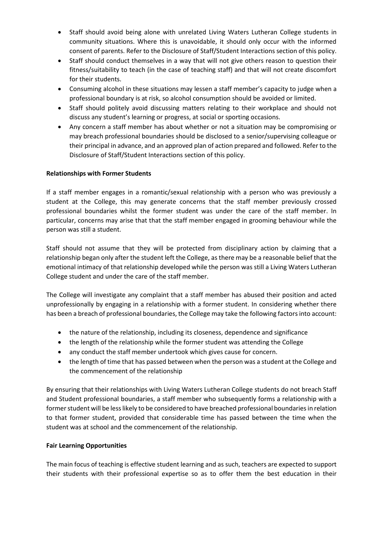- Staff should avoid being alone with unrelated Living Waters Lutheran College students in community situations. Where this is unavoidable, it should only occur with the informed consent of parents. Refer to the Disclosure of Staff/Student Interactions section of this policy.
- Staff should conduct themselves in a way that will not give others reason to question their fitness/suitability to teach (in the case of teaching staff) and that will not create discomfort for their students.
- Consuming alcohol in these situations may lessen a staff member's capacity to judge when a professional boundary is at risk, so alcohol consumption should be avoided or limited.
- Staff should politely avoid discussing matters relating to their workplace and should not discuss any student's learning or progress, at social or sporting occasions.
- Any concern a staff member has about whether or not a situation may be compromising or may breach professional boundaries should be disclosed to a senior/supervising colleague or their principal in advance, and an approved plan of action prepared and followed. Refer to the Disclosure of Staff/Student Interactions section of this policy.

## **Relationships with Former Students**

If a staff member engages in a romantic/sexual relationship with a person who was previously a student at the College, this may generate concerns that the staff member previously crossed professional boundaries whilst the former student was under the care of the staff member. In particular, concerns may arise that that the staff member engaged in grooming behaviour while the person was still a student.

Staff should not assume that they will be protected from disciplinary action by claiming that a relationship began only after the student left the College, as there may be a reasonable belief that the emotional intimacy of that relationship developed while the person was still a Living Waters Lutheran College student and under the care of the staff member.

The College will investigate any complaint that a staff member has abused their position and acted unprofessionally by engaging in a relationship with a former student. In considering whether there has been a breach of professional boundaries, the College may take the following factors into account:

- the nature of the relationship, including its closeness, dependence and significance
- the length of the relationship while the former student was attending the College
- any conduct the staff member undertook which gives cause for concern.
- the length of time that has passed between when the person was a student at the College and the commencement of the relationship

By ensuring that their relationships with Living Waters Lutheran College students do not breach Staff and Student professional boundaries, a staff member who subsequently forms a relationship with a former student will be less likely to be considered to have breached professional boundaries in relation to that former student, provided that considerable time has passed between the time when the student was at school and the commencement of the relationship.

#### **Fair Learning Opportunities**

The main focus of teaching is effective student learning and as such, teachers are expected to support their students with their professional expertise so as to offer them the best education in their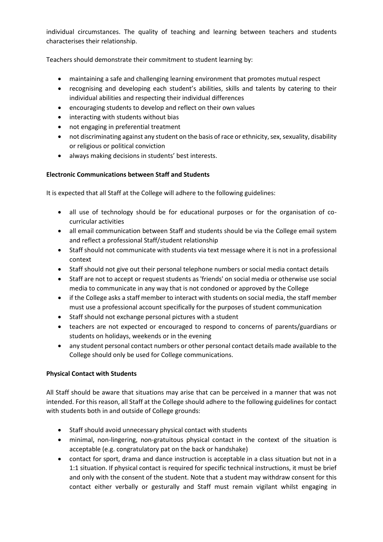individual circumstances. The quality of teaching and learning between teachers and students characterises their relationship.

Teachers should demonstrate their commitment to student learning by:

- maintaining a safe and challenging learning environment that promotes mutual respect
- recognising and developing each student's abilities, skills and talents by catering to their individual abilities and respecting their individual differences
- encouraging students to develop and reflect on their own values
- interacting with students without bias
- not engaging in preferential treatment
- not discriminating against any student on the basis of race or ethnicity, sex, sexuality, disability or religious or political conviction
- always making decisions in students' best interests.

## **Electronic Communications between Staff and Students**

It is expected that all Staff at the College will adhere to the following guidelines:

- all use of technology should be for educational purposes or for the organisation of cocurricular activities
- all email communication between Staff and students should be via the College email system and reflect a professional Staff/student relationship
- Staff should not communicate with students via text message where it is not in a professional context
- Staff should not give out their personal telephone numbers or social media contact details
- Staff are not to accept or request students as 'friends' on social media or otherwise use social media to communicate in any way that is not condoned or approved by the College
- if the College asks a staff member to interact with students on social media, the staff member must use a professional account specifically for the purposes of student communication
- Staff should not exchange personal pictures with a student
- teachers are not expected or encouraged to respond to concerns of parents/guardians or students on holidays, weekends or in the evening
- any student personal contact numbers or other personal contact details made available to the College should only be used for College communications.

## **Physical Contact with Students**

All Staff should be aware that situations may arise that can be perceived in a manner that was not intended. For this reason, all Staff at the College should adhere to the following guidelines for contact with students both in and outside of College grounds:

- Staff should avoid unnecessary physical contact with students
- minimal, non-lingering, non-gratuitous physical contact in the context of the situation is acceptable (e.g. congratulatory pat on the back or handshake)
- contact for sport, drama and dance instruction is acceptable in a class situation but not in a 1:1 situation. If physical contact is required for specific technical instructions, it must be brief and only with the consent of the student. Note that a student may withdraw consent for this contact either verbally or gesturally and Staff must remain vigilant whilst engaging in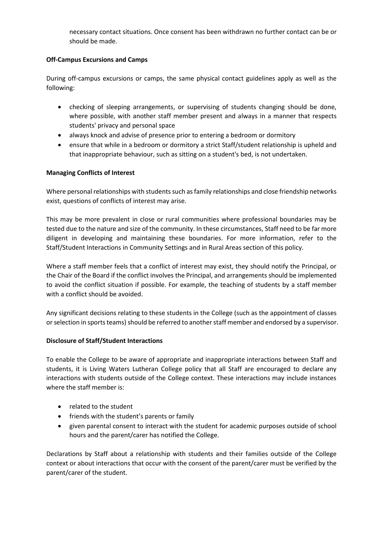necessary contact situations. Once consent has been withdrawn no further contact can be or should be made.

## **Off-Campus Excursions and Camps**

During off-campus excursions or camps, the same physical contact guidelines apply as well as the following:

- checking of sleeping arrangements, or supervising of students changing should be done, where possible, with another staff member present and always in a manner that respects students' privacy and personal space
- always knock and advise of presence prior to entering a bedroom or dormitory
- ensure that while in a bedroom or dormitory a strict Staff/student relationship is upheld and that inappropriate behaviour, such as sitting on a student's bed, is not undertaken.

## **Managing Conflicts of Interest**

Where personal relationships with students such as family relationships and close friendship networks exist, questions of conflicts of interest may arise.

This may be more prevalent in close or rural communities where professional boundaries may be tested due to the nature and size of the community. In these circumstances, Staff need to be far more diligent in developing and maintaining these boundaries. For more information, refer to the Staff/Student Interactions in Community Settings and in Rural Areas section of this policy.

Where a staff member feels that a conflict of interest may exist, they should notify the Principal, or the Chair of the Board if the conflict involves the Principal, and arrangements should be implemented to avoid the conflict situation if possible. For example, the teaching of students by a staff member with a conflict should be avoided.

Any significant decisions relating to these students in the College (such as the appointment of classes or selection in sports teams) should be referred to another staff member and endorsed by a supervisor.

#### **Disclosure of Staff/Student Interactions**

To enable the College to be aware of appropriate and inappropriate interactions between Staff and students, it is Living Waters Lutheran College policy that all Staff are encouraged to declare any interactions with students outside of the College context. These interactions may include instances where the staff member is:

- related to the student
- friends with the student's parents or family
- given parental consent to interact with the student for academic purposes outside of school hours and the parent/carer has notified the College.

Declarations by Staff about a relationship with students and their families outside of the College context or about interactions that occur with the consent of the parent/carer must be verified by the parent/carer of the student.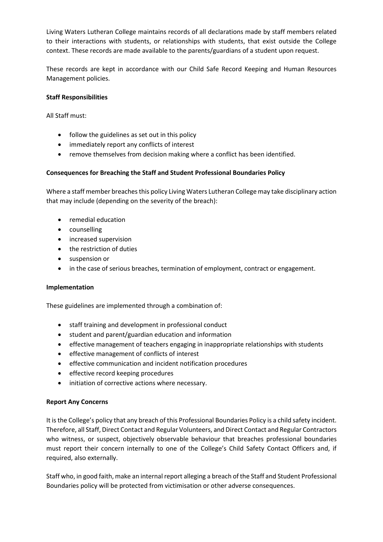Living Waters Lutheran College maintains records of all declarations made by staff members related to their interactions with students, or relationships with students, that exist outside the College context. These records are made available to the parents/guardians of a student upon request.

These records are kept in accordance with our Child Safe Record Keeping and Human Resources Management policies.

#### **Staff Responsibilities**

All Staff must:

- follow the guidelines as set out in this policy
- immediately report any conflicts of interest
- remove themselves from decision making where a conflict has been identified.

#### **Consequences for Breaching the Staff and Student Professional Boundaries Policy**

Where a staff member breaches this policy Living Waters Lutheran College may take disciplinary action that may include (depending on the severity of the breach):

- remedial education
- counselling
- increased supervision
- the restriction of duties
- suspension or
- in the case of serious breaches, termination of employment, contract or engagement.

#### **Implementation**

These guidelines are implemented through a combination of:

- staff training and development in professional conduct
- student and parent/guardian education and information
- effective management of teachers engaging in inappropriate relationships with students
- effective management of conflicts of interest
- effective communication and incident notification procedures
- effective record keeping procedures
- initiation of corrective actions where necessary.

#### **Report Any Concerns**

It is the College's policy that any breach of this Professional Boundaries Policy is a child safety incident. Therefore, all Staff, Direct Contact and Regular Volunteers, and Direct Contact and Regular Contractors who witness, or suspect, objectively observable behaviour that breaches professional boundaries must report their concern internally to one of the College's Child Safety Contact Officers and, if required, also externally.

Staff who, in good faith, make an internal report alleging a breach of the Staff and Student Professional Boundaries policy will be protected from victimisation or other adverse consequences.